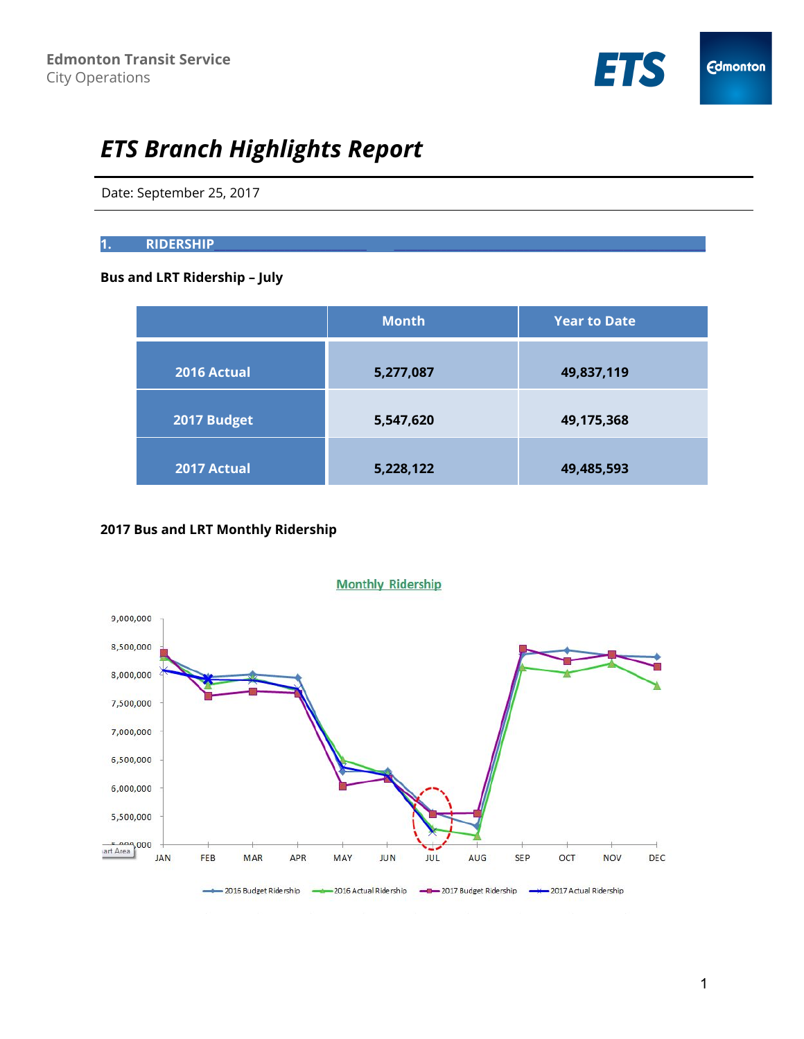

# *ETS Branch Highlights Report*

Date: September 25, 2017

### **1. RIDERSHIP\_**\_\_\_\_\_\_\_\_\_\_\_\_\_\_\_\_\_\_\_\_\_\_\_\_\_ \_\_\_\_\_\_\_\_\_\_\_\_\_\_\_\_\_\_\_\_\_\_\_\_\_\_\_\_\_\_\_\_\_\_\_\_\_\_\_\_\_\_\_\_\_\_\_\_\_\_\_\_\_

# **Bus and LRT Ridership – July**

|             | <b>Month</b> | <b>Year to Date</b> |
|-------------|--------------|---------------------|
| 2016 Actual | 5,277,087    | 49,837,119          |
| 2017 Budget | 5,547,620    | 49,175,368          |
| 2017 Actual | 5,228,122    | 49,485,593          |

# **2017 Bus and LRT Monthly Ridership**



1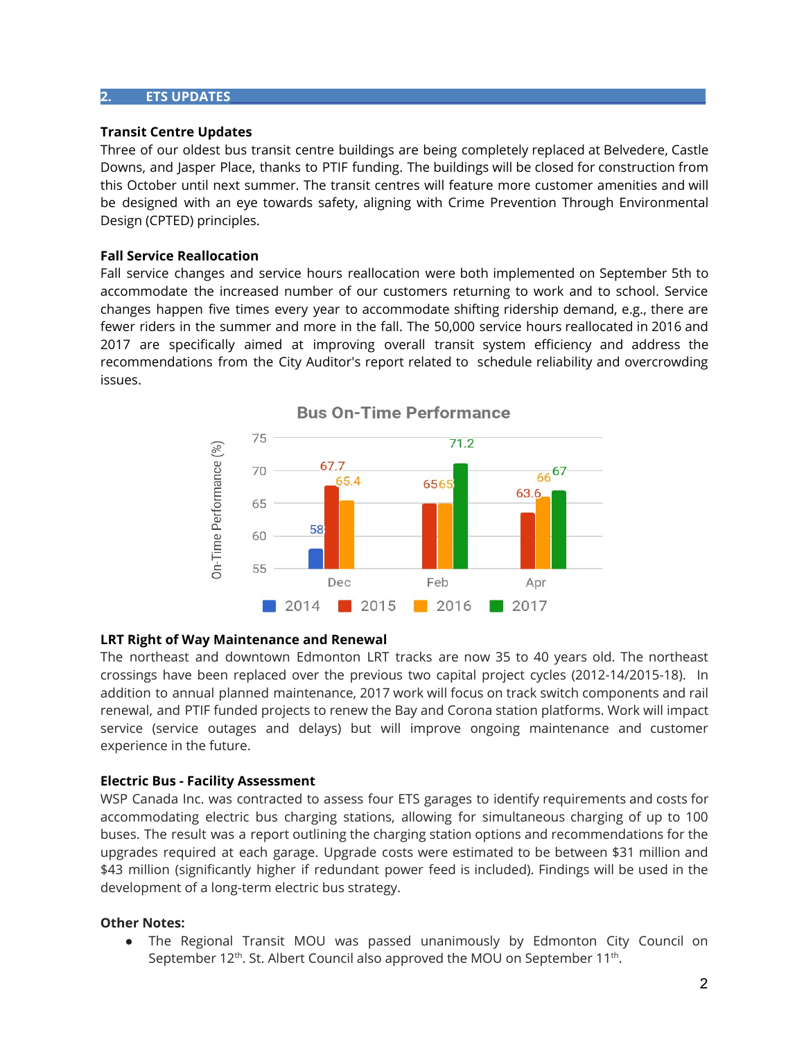#### **2. ETS UPDATES\_\_**\_\_\_\_\_\_\_\_\_\_\_\_\_\_\_\_\_\_\_\_\_\_\_\_\_\_\_\_\_\_\_\_\_\_\_\_\_\_\_\_\_\_\_\_\_\_\_\_\_\_\_\_\_\_\_\_\_\_\_\_\_\_\_\_\_\_\_\_\_\_\_\_\_\_\_\_\_\_\_

#### **Transit Centre Updates**

Three of our oldest bus transit centre buildings are being completely replaced at Belvedere, Castle Downs, and Jasper Place, thanks to PTIF funding. The buildings will be closed for construction from this October until next summer. The transit centres will feature more customer amenities and will be designed with an eye towards safety, aligning with Crime Prevention Through Environmental Design (CPTED) principles.

## **Fall Service Reallocation**

Fall service changes and service hours reallocation were both implemented on September 5th to accommodate the increased number of our customers returning to work and to school. Service changes happen five times every year to accommodate shifting ridership demand, e.g., there are fewer riders in the summer and more in the fall. The 50,000 service hours reallocated in 2016 and 2017 are specifically aimed at improving overall transit system efficiency and address the recommendations from the City Auditor's report related to schedule reliability and overcrowding issues.



### **LRT Right of Way Maintenance and Renewal**

The northeast and downtown Edmonton LRT tracks are now 35 to 40 years old. The northeast crossings have been replaced over the previous two capital project cycles (2012-14/2015-18). In addition to annual planned maintenance, 2017 work will focus on track switch components and rail renewal, and PTIF funded projects to renew the Bay and Corona station platforms. Work will impact service (service outages and delays) but will improve ongoing maintenance and customer experience in the future.

### **Electric Bus - Facility Assessment**

WSP Canada Inc. was contracted to assess four ETS garages to identify requirements and costs for accommodating electric bus charging stations, allowing for simultaneous charging of up to 100 buses. The result was a report outlining the charging station options and recommendations for the upgrades required at each garage. Upgrade costs were estimated to be between \$31 million and \$43 million (significantly higher if redundant power feed is included). Findings will be used in the development of a long-term electric bus strategy.

### **Other Notes:**

● The Regional Transit MOU was passed unanimously by Edmonton City Council on September 12<sup>th</sup>. St. Albert Council also approved the MOU on September 11<sup>th</sup>.